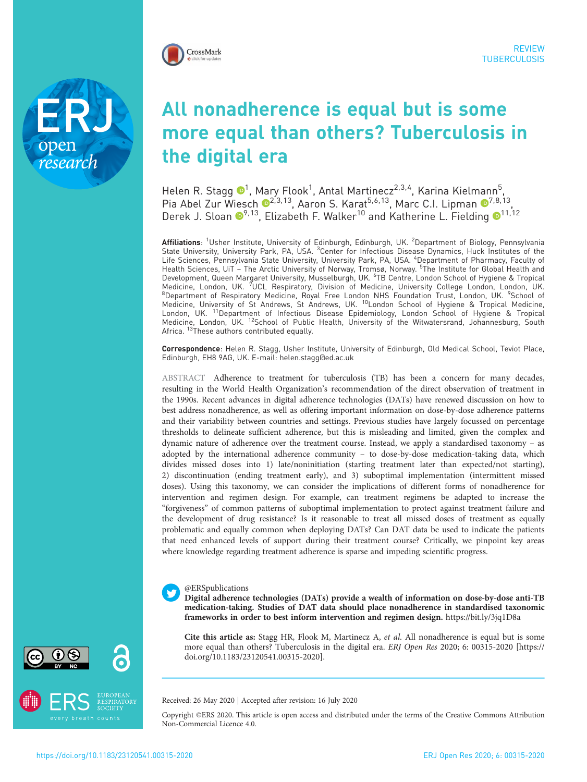

All nonadherence is equal but is some more equal than others? Tuberculosis in the digital era

Helen R. Stagg  $\bm{\Theta}^1$ , Mary Flook $^1$ , Antal Martinecz $^{2,3,4}$ , Karina Kielmann $^5$ , Pia Abel Zur Wiesch <sup>®[2](https://orcid.org/0000-0001-9420-9005),3,13</sup>, Aaron S. Karat<sup>5,6,13</sup>, Marc C.I. Lipman ®<sup>7,8,13</sup>, Derek J. Sloan <sup>®9,13</sup>, Elizabeth F. Walker<sup>10</sup> and Katherine L. Fielding <sup>®11,12</sup>

**Affiliations**: <sup>1</sup>Usher Institute, University of Edinburgh, Edinburgh, UK. <sup>2</sup>Department of Biology, Pennsylvania State University, University Park, PA, USA. <sup>3</sup>Center for Infectious Disease Dynamics, Huck Institutes of the Life Sciences, Pennsylvania State University, University Park, PA, USA. <sup>4</sup> Department of Pharmacy, Faculty of Health Sciences, UiT – The Arctic University of Norway, Tromsø, Norway. <sup>5</sup> The Institute for Global Health and Development, Queen Margaret University, Musselburgh, UK. <sup>6</sup>TB Centre, London School of Hygiene & Tropical<br>Medicine, London, UK. <sup>7</sup>UCL Respiratory, Division of Medicine, University College London, London, UK.<br><sup>8</sup>Departmen Medicine, University of St Andrews, St Andrews, UK. <sup>10</sup>London School of Hygiene & Tropical Medicine, London, UK. 11Department of Infectious Disease Epidemiology, London School of Hygiene & Tropical Medicine, London, UK. 12School of Public Health, University of the Witwatersrand, Johannesburg, South Africa. <sup>13</sup>These authors contributed equally.

Correspondence: Helen R. Stagg, Usher Institute, University of Edinburgh, Old Medical School, Teviot Place, Edinburgh, EH8 9AG, UK. E-mail: [helen.stagg@ed.ac.uk](mailto:helen.stagg@ed.ac.uk)

ABSTRACT Adherence to treatment for tuberculosis (TB) has been a concern for many decades, resulting in the World Health Organization's recommendation of the direct observation of treatment in the 1990s. Recent advances in digital adherence technologies (DATs) have renewed discussion on how to best address nonadherence, as well as offering important information on dose-by-dose adherence patterns and their variability between countries and settings. Previous studies have largely focussed on percentage thresholds to delineate sufficient adherence, but this is misleading and limited, given the complex and dynamic nature of adherence over the treatment course. Instead, we apply a standardised taxonomy – as adopted by the international adherence community – to dose-by-dose medication-taking data, which divides missed doses into 1) late/noninitiation (starting treatment later than expected/not starting), 2) discontinuation (ending treatment early), and 3) suboptimal implementation (intermittent missed doses). Using this taxonomy, we can consider the implications of different forms of nonadherence for intervention and regimen design. For example, can treatment regimens be adapted to increase the "forgiveness" of common patterns of suboptimal implementation to protect against treatment failure and the development of drug resistance? Is it reasonable to treat all missed doses of treatment as equally problematic and equally common when deploying DATs? Can DAT data be used to indicate the patients that need enhanced levels of support during their treatment course? Critically, we pinpoint key areas where knowledge regarding treatment adherence is sparse and impeding scientific progress.

## @ERSpublications

Digital adherence technologies (DATs) provide a wealth of information on dose-by-dose anti-TB medication-taking. Studies of DAT data should place nonadherence in standardised taxonomic frameworks in order to best inform intervention and regimen design. <https://bit.ly/3jq1D8a>

Cite this article as: Stagg HR, Flook M, Martinecz A, et al. All nonadherence is equal but is some more equal than others? Tuberculosis in the digital era. ERJ Open Res 2020; 6: 00315-2020 [\[https://](https://doi.org/10.1183/23120541.00315-2020) [doi.org/10.1183/23120541.00315-2020\].](https://doi.org/10.1183/23120541.00315-2020)

Received: 26 May 2020 | Accepted after revision: 16 July 2020

Copyright ©ERS 2020. This article is open access and distributed under the terms of the Creative Commons Attribution Non-Commercial Licence 4.0.



research

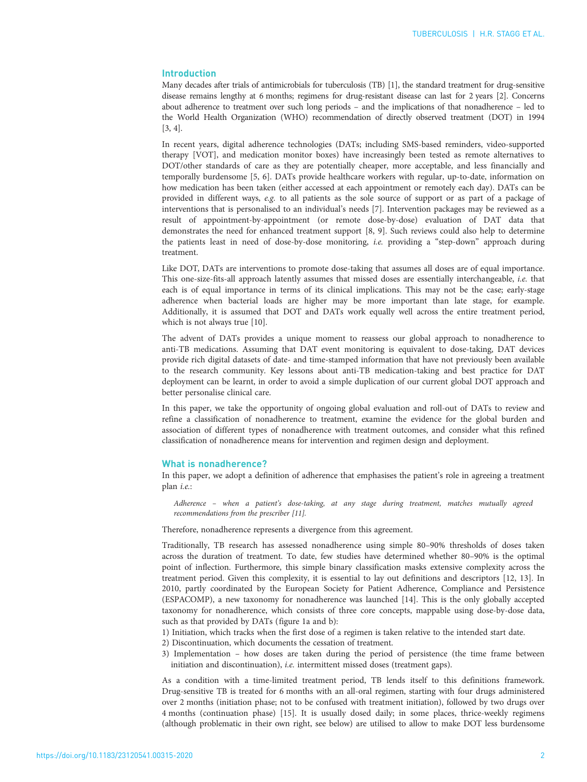# Introduction

Many decades after trials of antimicrobials for tuberculosis (TB) [[1\]](#page-10-0), the standard treatment for drug-sensitive disease remains lengthy at 6 months; regimens for drug-resistant disease can last for 2 years [[2\]](#page-10-0). Concerns about adherence to treatment over such long periods – and the implications of that nonadherence – led to the World Health Organization (WHO) recommendation of directly observed treatment (DOT) in 1994 [\[3, 4](#page-10-0)].

In recent years, digital adherence technologies (DATs; including SMS-based reminders, video-supported therapy [VOT], and medication monitor boxes) have increasingly been tested as remote alternatives to DOT/other standards of care as they are potentially cheaper, more acceptable, and less financially and temporally burdensome [\[5](#page-10-0), [6\]](#page-10-0). DATs provide healthcare workers with regular, up-to-date, information on how medication has been taken (either accessed at each appointment or remotely each day). DATs can be provided in different ways, e.g. to all patients as the sole source of support or as part of a package of interventions that is personalised to an individual's needs [\[7\]](#page-10-0). Intervention packages may be reviewed as a result of appointment-by-appointment (or remote dose-by-dose) evaluation of DAT data that demonstrates the need for enhanced treatment support [[8](#page-10-0), [9\]](#page-10-0). Such reviews could also help to determine the patients least in need of dose-by-dose monitoring, i.e. providing a "step-down" approach during treatment.

Like DOT, DATs are interventions to promote dose-taking that assumes all doses are of equal importance. This one-size-fits-all approach latently assumes that missed doses are essentially interchangeable, i.e. that each is of equal importance in terms of its clinical implications. This may not be the case; early-stage adherence when bacterial loads are higher may be more important than late stage, for example. Additionally, it is assumed that DOT and DATs work equally well across the entire treatment period, which is not always true [[10](#page-10-0)].

The advent of DATs provides a unique moment to reassess our global approach to nonadherence to anti-TB medications. Assuming that DAT event monitoring is equivalent to dose-taking, DAT devices provide rich digital datasets of date- and time-stamped information that have not previously been available to the research community. Key lessons about anti-TB medication-taking and best practice for DAT deployment can be learnt, in order to avoid a simple duplication of our current global DOT approach and better personalise clinical care.

In this paper, we take the opportunity of ongoing global evaluation and roll-out of DATs to review and refine a classification of nonadherence to treatment, examine the evidence for the global burden and association of different types of nonadherence with treatment outcomes, and consider what this refined classification of nonadherence means for intervention and regimen design and deployment.

#### What is nonadherence?

In this paper, we adopt a definition of adherence that emphasises the patient's role in agreeing a treatment plan i.e.:

Adherence – when a patient's dose-taking, at any stage during treatment, matches mutually agreed recommendations from the prescriber [[11](#page-10-0)].

Therefore, nonadherence represents a divergence from this agreement.

Traditionally, TB research has assessed nonadherence using simple 80–90% thresholds of doses taken across the duration of treatment. To date, few studies have determined whether 80–90% is the optimal point of inflection. Furthermore, this simple binary classification masks extensive complexity across the treatment period. Given this complexity, it is essential to lay out definitions and descriptors [[12](#page-10-0), [13](#page-10-0)]. In 2010, partly coordinated by the European Society for Patient Adherence, Compliance and Persistence (ESPACOMP), a new taxonomy for nonadherence was launched [[14](#page-10-0)]. This is the only globally accepted taxonomy for nonadherence, which consists of three core concepts, mappable using dose-by-dose data, such as that provided by DATs ([figure 1a](#page-2-0) and b):

1) Initiation, which tracks when the first dose of a regimen is taken relative to the intended start date.

- 2) Discontinuation, which documents the cessation of treatment.
- 3) Implementation how doses are taken during the period of persistence (the time frame between initiation and discontinuation), i.e. intermittent missed doses (treatment gaps).

As a condition with a time-limited treatment period, TB lends itself to this definitions framework. Drug-sensitive TB is treated for 6 months with an all-oral regimen, starting with four drugs administered over 2 months (initiation phase; not to be confused with treatment initiation), followed by two drugs over 4 months (continuation phase) [\[15](#page-10-0)]. It is usually dosed daily; in some places, thrice-weekly regimens (although problematic in their own right, see below) are utilised to allow to make DOT less burdensome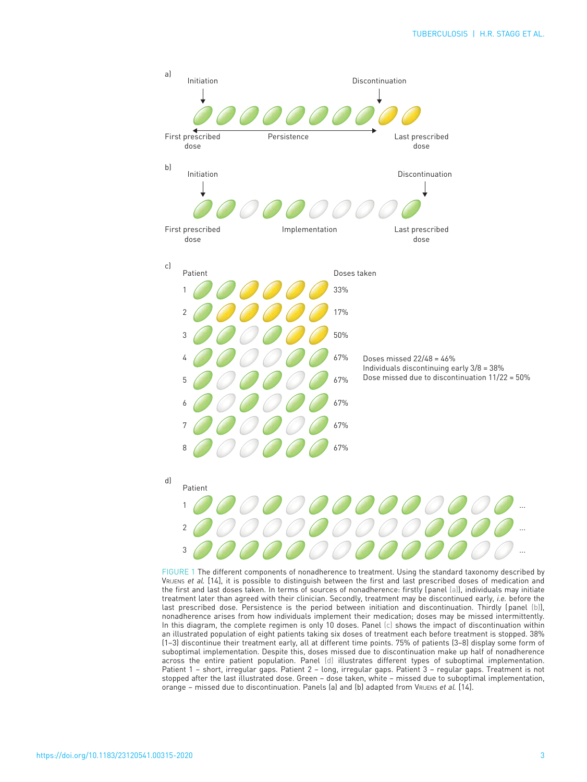<span id="page-2-0"></span>

FIGURE 1 The different components of nonadherence to treatment. Using the standard taxonomy described by VRIJENS et al. [\[14\]](#page-10-0), it is possible to distinguish between the first and last prescribed doses of medication and the first and last doses taken. In terms of sources of nonadherence: firstly (panel (a)), individuals may initiate treatment later than agreed with their clinician. Secondly, treatment may be discontinued early, i.e. before the last prescribed dose. Persistence is the period between initiation and discontinuation. Thirdly (panel (b)), nonadherence arises from how individuals implement their medication; doses may be missed intermittently. In this diagram, the complete regimen is only 10 doses. Panel (c) shows the impact of discontinuation within an illustrated population of eight patients taking six doses of treatment each before treatment is stopped. 38% (1–3) discontinue their treatment early, all at different time points. 75% of patients (3–8) display some form of suboptimal implementation. Despite this, doses missed due to discontinuation make up half of nonadherence across the entire patient population. Panel (d) illustrates different types of suboptimal implementation. Patient 1 – short, irregular gaps. Patient 2 – long, irregular gaps. Patient 3 – regular gaps. Treatment is not stopped after the last illustrated dose. Green – dose taken, white – missed due to suboptimal implementation, orange – missed due to discontinuation. Panels (a) and (b) adapted from VRIJENS et al. [\[14](#page-10-0)].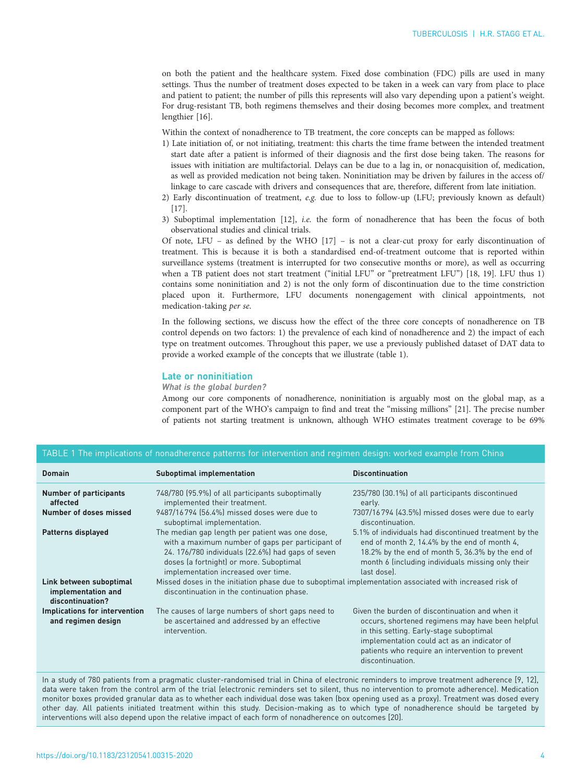<span id="page-3-0"></span>on both the patient and the healthcare system. Fixed dose combination (FDC) pills are used in many settings. Thus the number of treatment doses expected to be taken in a week can vary from place to place and patient to patient; the number of pills this represents will also vary depending upon a patient's weight. For drug-resistant TB, both regimens themselves and their dosing becomes more complex, and treatment lengthier [\[16\]](#page-10-0).

Within the context of nonadherence to TB treatment, the core concepts can be mapped as follows:

- 1) Late initiation of, or not initiating, treatment: this charts the time frame between the intended treatment start date after a patient is informed of their diagnosis and the first dose being taken. The reasons for issues with initiation are multifactorial. Delays can be due to a lag in, or nonacquisition of, medication, as well as provided medication not being taken. Noninitiation may be driven by failures in the access of/ linkage to care cascade with drivers and consequences that are, therefore, different from late initiation.
- 2) Early discontinuation of treatment, e.g. due to loss to follow-up (LFU; previously known as default) [\[17](#page-10-0)].
- 3) Suboptimal implementation  $[12]$  $[12]$  $[12]$ , *i.e.* the form of nonadherence that has been the focus of both observational studies and clinical trials.

Of note, LFU – as defined by the WHO  $[17]$  $[17]$  $[17]$  – is not a clear-cut proxy for early discontinuation of treatment. This is because it is both a standardised end-of-treatment outcome that is reported within surveillance systems (treatment is interrupted for two consecutive months or more), as well as occurring when a TB patient does not start treatment ("initial LFU" or "pretreatment LFU") [\[18, 19\]](#page-11-0). LFU thus 1) contains some noninitiation and 2) is not the only form of discontinuation due to the time constriction placed upon it. Furthermore, LFU documents nonengagement with clinical appointments, not medication-taking per se.

In the following sections, we discuss how the effect of the three core concepts of nonadherence on TB control depends on two factors: 1) the prevalence of each kind of nonadherence and 2) the impact of each type on treatment outcomes. Throughout this paper, we use a previously published dataset of DAT data to provide a worked example of the concepts that we illustrate (table 1).

### Late or noninitiation

What is the global burden?

Among our core components of nonadherence, noninitiation is arguably most on the global map, as a component part of the WHO's campaign to find and treat the "missing millions" [\[21\]](#page-11-0). The precise number of patients not starting treatment is unknown, although WHO estimates treatment coverage to be 69%

| <b>Domain</b>                                                     | <b>Suboptimal implementation</b>                                                                                                                                                                                                           | <b>Discontinuation</b>                                                                                                                                                                                                                                               |
|-------------------------------------------------------------------|--------------------------------------------------------------------------------------------------------------------------------------------------------------------------------------------------------------------------------------------|----------------------------------------------------------------------------------------------------------------------------------------------------------------------------------------------------------------------------------------------------------------------|
| <b>Number of participants</b><br>affected                         | 748/780 (95.9%) of all participants suboptimally<br>implemented their treatment.                                                                                                                                                           | 235/780 (30.1%) of all participants discontinued<br>early.                                                                                                                                                                                                           |
| Number of doses missed                                            | 9487/16794 (56.4%) missed doses were due to<br>suboptimal implementation.                                                                                                                                                                  | 7307/16794 (43.5%) missed doses were due to early<br>discontinuation.                                                                                                                                                                                                |
| Patterns displayed                                                | The median gap length per patient was one dose,<br>with a maximum number of gaps per participant of<br>24. 176/780 individuals (22.6%) had gaps of seven<br>doses (a fortnight) or more. Suboptimal<br>implementation increased over time. | 5.1% of individuals had discontinued treatment by the<br>end of month 2, 14.4% by the end of month 4,<br>18.2% by the end of month 5, 36.3% by the end of<br>month 6 (including individuals missing only their<br>last dose).                                        |
| Link between suboptimal<br>implementation and<br>discontinuation? | Missed doses in the initiation phase due to suboptimal implementation associated with increased risk of<br>discontinuation in the continuation phase.                                                                                      |                                                                                                                                                                                                                                                                      |
| Implications for intervention<br>and regimen design               | The causes of large numbers of short gaps need to<br>be ascertained and addressed by an effective<br>intervention.                                                                                                                         | Given the burden of discontinuation and when it<br>occurs, shortened regimens may have been helpful<br>in this setting. Early-stage suboptimal<br>implementation could act as an indicator of<br>patients who require an intervention to prevent<br>discontinuation. |

## TABLE 1 The implications of nonadherence patterns for intervention and regimen design: worked example from China

In a study of 780 patients from a pragmatic cluster-randomised trial in China of electronic reminders to improve treatment adherence [9, 12], data were taken from the control arm of the trial (electronic reminders set to silent, thus no intervention to promote adherence). Medication monitor boxes provided granular data as to whether each individual dose was taken (box opening used as a proxy). Treatment was dosed every other day. All patients initiated treatment within this study. Decision-making as to which type of nonadherence should be targeted by interventions will also depend upon the relative impact of each form of nonadherence on outcomes [\[20\]](#page-11-0).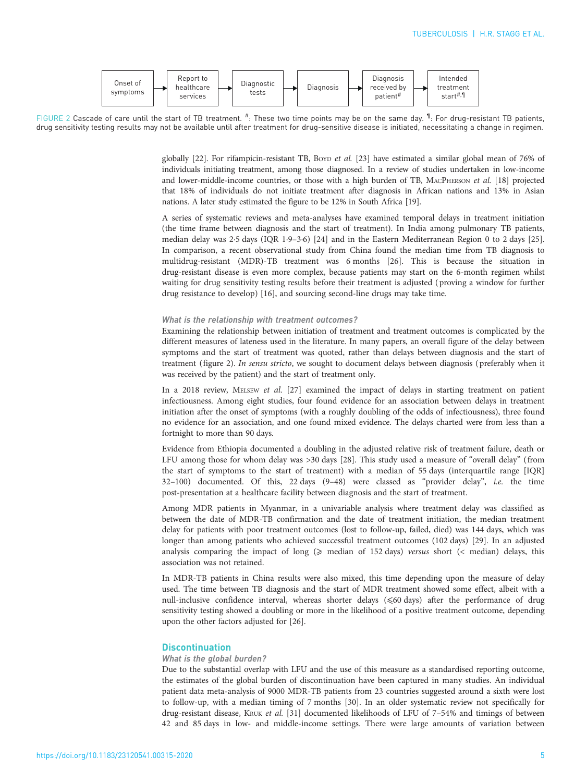

FIGURE 2 Cascade of care until the start of TB treatment. <sup>#</sup>: These two time points may be on the same day. <sup>11</sup>: For drug-resistant TB patients, drug sensitivity testing results may not be available until after treatment for drug-sensitive disease is initiated, necessitating a change in regimen.

globally [\[22\]](#page-11-0). For rifampicin-resistant TB, BOYD et al. [[23](#page-11-0)] have estimated a similar global mean of 76% of individuals initiating treatment, among those diagnosed. In a review of studies undertaken in low-income and lower-middle-income countries, or those with a high burden of TB, MACPHERSON et al. [\[18\]](#page-11-0) projected that 18% of individuals do not initiate treatment after diagnosis in African nations and 13% in Asian nations. A later study estimated the figure to be 12% in South Africa [\[19\]](#page-11-0).

A series of systematic reviews and meta-analyses have examined temporal delays in treatment initiation (the time frame between diagnosis and the start of treatment). In India among pulmonary TB patients, median delay was 2·5 days (IQR 1·9–3·6) [\[24\]](#page-11-0) and in the Eastern Mediterranean Region 0 to 2 days [\[25\]](#page-11-0). In comparison, a recent observational study from China found the median time from TB diagnosis to multidrug-resistant (MDR)-TB treatment was 6 months [[26\]](#page-11-0). This is because the situation in drug-resistant disease is even more complex, because patients may start on the 6-month regimen whilst waiting for drug sensitivity testing results before their treatment is adjusted ( proving a window for further drug resistance to develop) [\[16](#page-10-0)], and sourcing second-line drugs may take time.

#### What is the relationship with treatment outcomes?

Examining the relationship between initiation of treatment and treatment outcomes is complicated by the different measures of lateness used in the literature. In many papers, an overall figure of the delay between symptoms and the start of treatment was quoted, rather than delays between diagnosis and the start of treatment (figure 2). In sensu stricto, we sought to document delays between diagnosis ( preferably when it was received by the patient) and the start of treatment only.

In a 2018 review, MELSEW et al. [\[27\]](#page-11-0) examined the impact of delays in starting treatment on patient infectiousness. Among eight studies, four found evidence for an association between delays in treatment initiation after the onset of symptoms (with a roughly doubling of the odds of infectiousness), three found no evidence for an association, and one found mixed evidence. The delays charted were from less than a fortnight to more than 90 days.

Evidence from Ethiopia documented a doubling in the adjusted relative risk of treatment failure, death or LFU among those for whom delay was >30 days [\[28\]](#page-11-0). This study used a measure of "overall delay" (from the start of symptoms to the start of treatment) with a median of 55 days (interquartile range [IQR] 32–100) documented. Of this, 22 days (9–48) were classed as "provider delay", i.e. the time post-presentation at a healthcare facility between diagnosis and the start of treatment.

Among MDR patients in Myanmar, in a univariable analysis where treatment delay was classified as between the date of MDR-TB confirmation and the date of treatment initiation, the median treatment delay for patients with poor treatment outcomes (lost to follow-up, failed, died) was 144 days, which was longer than among patients who achieved successful treatment outcomes (102 days) [\[29\]](#page-11-0). In an adjusted analysis comparing the impact of long ( $\geq$  median of 152 days) versus short (< median) delays, this association was not retained.

In MDR-TB patients in China results were also mixed, this time depending upon the measure of delay used. The time between TB diagnosis and the start of MDR treatment showed some effect, albeit with a null-inclusive confidence interval, whereas shorter delays (≤60 days) after the performance of drug sensitivity testing showed a doubling or more in the likelihood of a positive treatment outcome, depending upon the other factors adjusted for [[26](#page-11-0)].

## **Discontinuation**

#### What is the global burden?

Due to the substantial overlap with LFU and the use of this measure as a standardised reporting outcome, the estimates of the global burden of discontinuation have been captured in many studies. An individual patient data meta-analysis of 9000 MDR-TB patients from 23 countries suggested around a sixth were lost to follow-up, with a median timing of 7 months [[30\]](#page-11-0). In an older systematic review not specifically for drug-resistant disease, KRUK et al. [[31\]](#page-11-0) documented likelihoods of LFU of 7-54% and timings of between 42 and 85 days in low- and middle-income settings. There were large amounts of variation between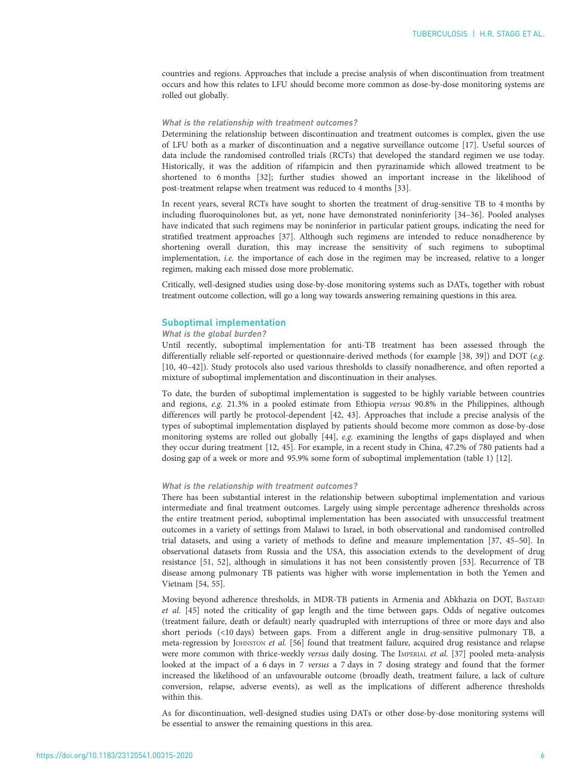countries and regions. Approaches that include a precise analysis of when discontinuation from treatment occurs and how this relates to LFU should become more common as dose-by-dose monitoring systems are rolled out globally.

## What is the relationship with treatment outcomes?

Determining the relationship between discontinuation and treatment outcomes is complex, given the use of LFU both as a marker of discontinuation and a negative surveillance outcome [\[17\]](#page-10-0). Useful sources of data include the randomised controlled trials (RCTs) that developed the standard regimen we use today. Historically, it was the addition of rifampicin and then pyrazinamide which allowed treatment to be shortened to 6 months [[32](#page-11-0)]; further studies showed an important increase in the likelihood of post-treatment relapse when treatment was reduced to 4 months [\[33\]](#page-11-0).

In recent years, several RCTs have sought to shorten the treatment of drug-sensitive TB to 4 months by including fluoroquinolones but, as yet, none have demonstrated noninferiority [\[34](#page-11-0)–[36](#page-11-0)]. Pooled analyses have indicated that such regimens may be noninferior in particular patient groups, indicating the need for stratified treatment approaches [[37\]](#page-11-0). Although such regimens are intended to reduce nonadherence by shortening overall duration, this may increase the sensitivity of such regimens to suboptimal implementation, *i.e.* the importance of each dose in the regimen may be increased, relative to a longer regimen, making each missed dose more problematic.

Critically, well-designed studies using dose-by-dose monitoring systems such as DATs, together with robust treatment outcome collection, will go a long way towards answering remaining questions in this area.

## Suboptimal implementation

## What is the global burden?

Until recently, suboptimal implementation for anti-TB treatment has been assessed through the differentially reliable self-reported or questionnaire-derived methods (for example [[38](#page-11-0), [39\]](#page-11-0)) and DOT (e.g. [[10](#page-10-0), [40](#page-11-0)–[42](#page-11-0)]). Study protocols also used various thresholds to classify nonadherence, and often reported a mixture of suboptimal implementation and discontinuation in their analyses.

To date, the burden of suboptimal implementation is suggested to be highly variable between countries and regions, e.g. 21.3% in a pooled estimate from Ethiopia versus 90.8% in the Philippines, although differences will partly be protocol-dependent [[42, 43\]](#page-11-0). Approaches that include a precise analysis of the types of suboptimal implementation displayed by patients should become more common as dose-by-dose monitoring systems are rolled out globally [\[44](#page-11-0)], e.g. examining the lengths of gaps displayed and when they occur during treatment [[12](#page-10-0), [45\]](#page-11-0). For example, in a recent study in China, 47.2% of 780 patients had a dosing gap of a week or more and 95.9% some form of suboptimal implementation [\(table 1\)](#page-3-0) [\[12](#page-10-0)].

#### What is the relationship with treatment outcomes?

There has been substantial interest in the relationship between suboptimal implementation and various intermediate and final treatment outcomes. Largely using simple percentage adherence thresholds across the entire treatment period, suboptimal implementation has been associated with unsuccessful treatment outcomes in a variety of settings from Malawi to Israel, in both observational and randomised controlled trial datasets, and using a variety of methods to define and measure implementation [\[37](#page-11-0), [45](#page-11-0)–[50](#page-11-0)]. In observational datasets from Russia and the USA, this association extends to the development of drug resistance [[51, 52](#page-12-0)], although in simulations it has not been consistently proven [\[53](#page-12-0)]. Recurrence of TB disease among pulmonary TB patients was higher with worse implementation in both the Yemen and Vietnam [\[54](#page-12-0), [55](#page-12-0)].

Moving beyond adherence thresholds, in MDR-TB patients in Armenia and Abkhazia on DOT, BASTARD et al. [[45\]](#page-11-0) noted the criticality of gap length and the time between gaps. Odds of negative outcomes (treatment failure, death or default) nearly quadrupled with interruptions of three or more days and also short periods (<10 days) between gaps. From a different angle in drug-sensitive pulmonary TB, a meta-regression by JOHNSTON et al. [\[56\]](#page-12-0) found that treatment failure, acquired drug resistance and relapse were more common with thrice-weekly versus daily dosing. The IMPERIAL et al. [\[37\]](#page-11-0) pooled meta-analysis looked at the impact of a 6 days in 7 versus a 7 days in 7 dosing strategy and found that the former increased the likelihood of an unfavourable outcome (broadly death, treatment failure, a lack of culture conversion, relapse, adverse events), as well as the implications of different adherence thresholds within this.

As for discontinuation, well-designed studies using DATs or other dose-by-dose monitoring systems will be essential to answer the remaining questions in this area.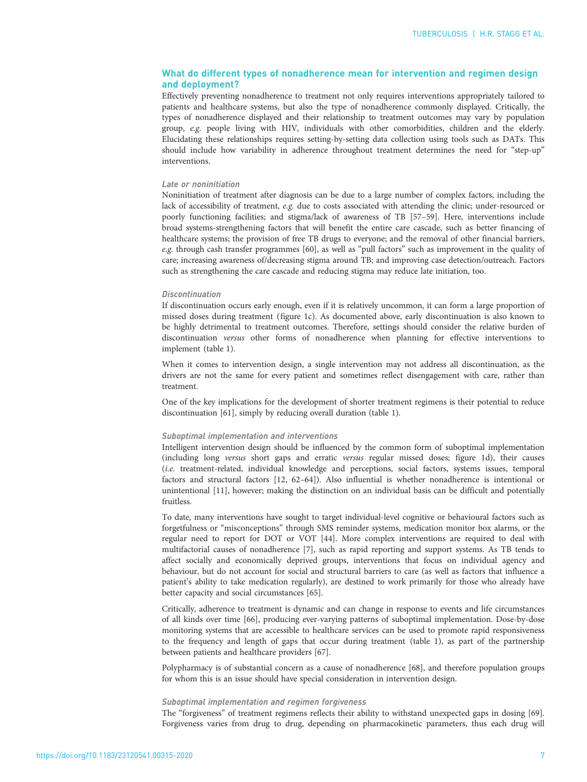# What do different types of nonadherence mean for intervention and regimen design and deployment?

Effectively preventing nonadherence to treatment not only requires interventions appropriately tailored to patients and healthcare systems, but also the type of nonadherence commonly displayed. Critically, the types of nonadherence displayed and their relationship to treatment outcomes may vary by population group, e.g. people living with HIV, individuals with other comorbidities, children and the elderly. Elucidating these relationships requires setting-by-setting data collection using tools such as DATs. This should include how variability in adherence throughout treatment determines the need for "step-up" interventions.

#### Late or noninitiation

Noninitiation of treatment after diagnosis can be due to a large number of complex factors, including the lack of accessibility of treatment, e.g. due to costs associated with attending the clinic; under-resourced or poorly functioning facilities; and stigma/lack of awareness of TB [\[57](#page-12-0)–[59](#page-12-0)]. Here, interventions include broad systems-strengthening factors that will benefit the entire care cascade, such as better financing of healthcare systems; the provision of free TB drugs to everyone; and the removal of other financial barriers, e.g. through cash transfer programmes [\[60\]](#page-12-0), as well as "pull factors" such as improvement in the quality of care; increasing awareness of/decreasing stigma around TB; and improving case detection/outreach. Factors such as strengthening the care cascade and reducing stigma may reduce late initiation, too.

### **Discontinuation**

If discontinuation occurs early enough, even if it is relatively uncommon, it can form a large proportion of missed doses during treatment ([figure 1c\)](#page-2-0). As documented above, early discontinuation is also known to be highly detrimental to treatment outcomes. Therefore, settings should consider the relative burden of discontinuation versus other forms of nonadherence when planning for effective interventions to implement ([table 1\)](#page-3-0).

When it comes to intervention design, a single intervention may not address all discontinuation, as the drivers are not the same for every patient and sometimes reflect disengagement with care, rather than treatment.

One of the key implications for the development of shorter treatment regimens is their potential to reduce discontinuation [\[61](#page-12-0)], simply by reducing overall duration [\(table 1\)](#page-3-0).

### Suboptimal implementation and interventions

Intelligent intervention design should be influenced by the common form of suboptimal implementation (including long versus short gaps and erratic versus regular missed doses; [figure 1d](#page-2-0)), their causes (i.e. treatment-related, individual knowledge and perceptions, social factors, systems issues, temporal factors and structural factors [[12,](#page-10-0) [62](#page-12-0)–[64\]](#page-12-0)). Also influential is whether nonadherence is intentional or unintentional [\[11\]](#page-10-0), however; making the distinction on an individual basis can be difficult and potentially fruitless.

To date, many interventions have sought to target individual-level cognitive or behavioural factors such as forgetfulness or "misconceptions" through SMS reminder systems, medication monitor box alarms, or the regular need to report for DOT or VOT [[44](#page-11-0)]. More complex interventions are required to deal with multifactorial causes of nonadherence [[7](#page-10-0)], such as rapid reporting and support systems. As TB tends to affect socially and economically deprived groups, interventions that focus on individual agency and behaviour, but do not account for social and structural barriers to care (as well as factors that influence a patient's ability to take medication regularly), are destined to work primarily for those who already have better capacity and social circumstances [\[65\]](#page-12-0).

Critically, adherence to treatment is dynamic and can change in response to events and life circumstances of all kinds over time [\[66\]](#page-12-0), producing ever-varying patterns of suboptimal implementation. Dose-by-dose monitoring systems that are accessible to healthcare services can be used to promote rapid responsiveness to the frequency and length of gaps that occur during treatment [\(table 1\)](#page-3-0), as part of the partnership between patients and healthcare providers [\[67\]](#page-12-0).

Polypharmacy is of substantial concern as a cause of nonadherence [[68](#page-12-0)], and therefore population groups for whom this is an issue should have special consideration in intervention design.

#### Suboptimal implementation and regimen forgiveness

The "forgiveness" of treatment regimens reflects their ability to withstand unexpected gaps in dosing [\[69\]](#page-12-0). Forgiveness varies from drug to drug, depending on pharmacokinetic parameters, thus each drug will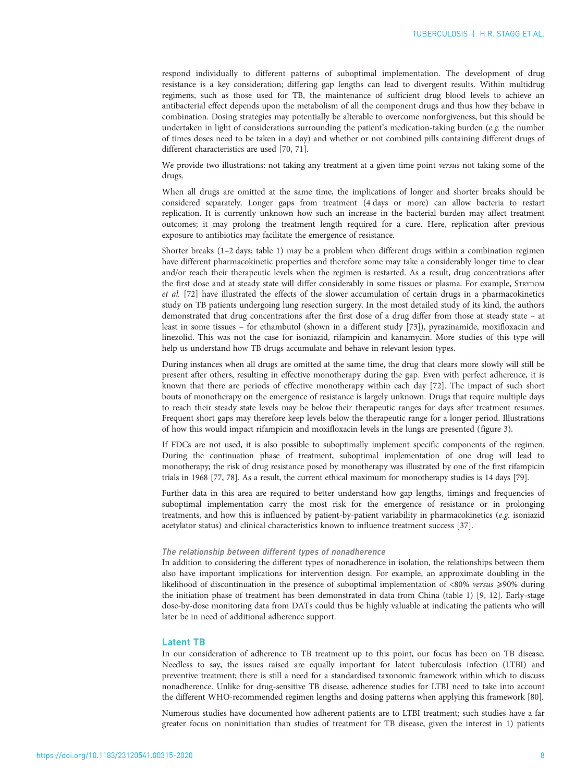respond individually to different patterns of suboptimal implementation. The development of drug resistance is a key consideration; differing gap lengths can lead to divergent results. Within multidrug regimens, such as those used for TB, the maintenance of sufficient drug blood levels to achieve an antibacterial effect depends upon the metabolism of all the component drugs and thus how they behave in combination. Dosing strategies may potentially be alterable to overcome nonforgiveness, but this should be undertaken in light of considerations surrounding the patient's medication-taking burden ( $e.g.$  the number of times doses need to be taken in a day) and whether or not combined pills containing different drugs of different characteristics are used [\[70, 71](#page-12-0)].

We provide two illustrations: not taking any treatment at a given time point versus not taking some of the drugs.

When all drugs are omitted at the same time, the implications of longer and shorter breaks should be considered separately. Longer gaps from treatment (4 days or more) can allow bacteria to restart replication. It is currently unknown how such an increase in the bacterial burden may affect treatment outcomes; it may prolong the treatment length required for a cure. Here, replication after previous exposure to antibiotics may facilitate the emergence of resistance.

Shorter breaks (1–2 days; [table 1\)](#page-3-0) may be a problem when different drugs within a combination regimen have different pharmacokinetic properties and therefore some may take a considerably longer time to clear and/or reach their therapeutic levels when the regimen is restarted. As a result, drug concentrations after the first dose and at steady state will differ considerably in some tissues or plasma. For example, STRYDOM et al. [[72](#page-12-0)] have illustrated the effects of the slower accumulation of certain drugs in a pharmacokinetics study on TB patients undergoing lung resection surgery. In the most detailed study of its kind, the authors demonstrated that drug concentrations after the first dose of a drug differ from those at steady state – at least in some tissues – for ethambutol (shown in a different study [\[73\]](#page-12-0)), pyrazinamide, moxifloxacin and linezolid. This was not the case for isoniazid, rifampicin and kanamycin. More studies of this type will help us understand how TB drugs accumulate and behave in relevant lesion types.

During instances when all drugs are omitted at the same time, the drug that clears more slowly will still be present after others, resulting in effective monotherapy during the gap. Even with perfect adherence, it is known that there are periods of effective monotherapy within each day [\[72\]](#page-12-0). The impact of such short bouts of monotherapy on the emergence of resistance is largely unknown. Drugs that require multiple days to reach their steady state levels may be below their therapeutic ranges for days after treatment resumes. Frequent short gaps may therefore keep levels below the therapeutic range for a longer period. Illustrations of how this would impact rifampicin and moxifloxacin levels in the lungs are presented [\(figure 3\)](#page-8-0).

If FDCs are not used, it is also possible to suboptimally implement specific components of the regimen. During the continuation phase of treatment, suboptimal implementation of one drug will lead to monotherapy; the risk of drug resistance posed by monotherapy was illustrated by one of the first rifampicin trials in 1968 [[77](#page-12-0), [78](#page-12-0)]. As a result, the current ethical maximum for monotherapy studies is 14 days [[79](#page-12-0)].

Further data in this area are required to better understand how gap lengths, timings and frequencies of suboptimal implementation carry the most risk for the emergence of resistance or in prolonging treatments, and how this is influenced by patient-by-patient variability in pharmacokinetics (e.g. isoniazid acetylator status) and clinical characteristics known to influence treatment success [[37](#page-11-0)].

#### The relationship between different types of nonadherence

In addition to considering the different types of nonadherence in isolation, the relationships between them also have important implications for intervention design. For example, an approximate doubling in the likelihood of discontinuation in the presence of suboptimal implementation of <80% versus  $\geqslant$ 90% during the initiation phase of treatment has been demonstrated in data from China ([table 1](#page-3-0)) [[9](#page-10-0), [12\]](#page-10-0). Early-stage dose-by-dose monitoring data from DATs could thus be highly valuable at indicating the patients who will later be in need of additional adherence support.

#### Latent TB

In our consideration of adherence to TB treatment up to this point, our focus has been on TB disease. Needless to say, the issues raised are equally important for latent tuberculosis infection (LTBI) and preventive treatment; there is still a need for a standardised taxonomic framework within which to discuss nonadherence. Unlike for drug-sensitive TB disease, adherence studies for LTBI need to take into account the different WHO-recommended regimen lengths and dosing patterns when applying this framework [\[80\]](#page-12-0).

Numerous studies have documented how adherent patients are to LTBI treatment; such studies have a far greater focus on noninitiation than studies of treatment for TB disease, given the interest in 1) patients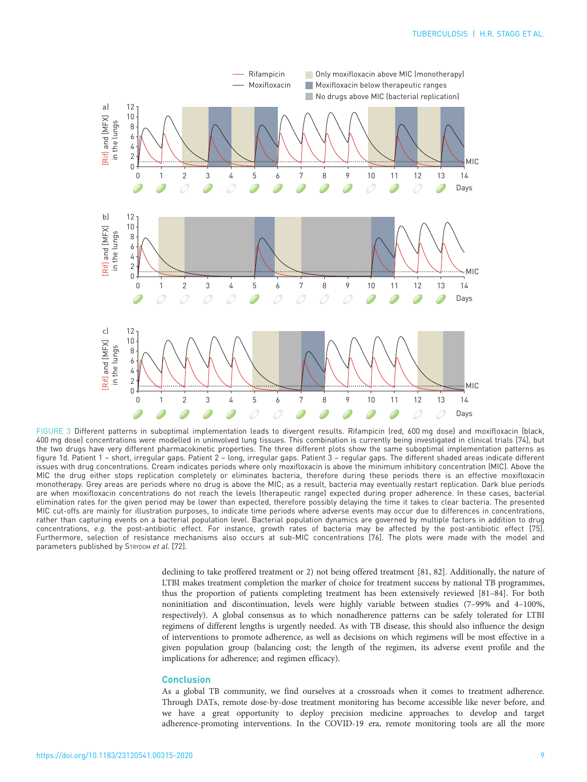<span id="page-8-0"></span>

FIGURE 3 Different patterns in suboptimal implementation leads to divergent results. Rifampicin (red, 600 mg dose) and moxifloxacin (black, 400 mg dose) concentrations were modelled in uninvolved lung tissues. This combination is currently being investigated in clinical trials [[74](#page-12-0)], but the two drugs have very different pharmacokinetic properties. The three different plots show the same suboptimal implementation patterns as [figure 1d](#page-2-0). Patient 1 – short, irregular gaps. Patient 2 – long, irregular gaps. Patient 3 – regular gaps. The different shaded areas indicate different issues with drug concentrations. Cream indicates periods where only moxifloxacin is above the minimum inhibitory concentration (MIC). Above the MIC the drug either stops replication completely or eliminates bacteria, therefore during these periods there is an effective moxifloxacin monotherapy. Grey areas are periods where no drug is above the MIC; as a result, bacteria may eventually restart replication. Dark blue periods are when moxifloxacin concentrations do not reach the levels (therapeutic range) expected during proper adherence. In these cases, bacterial elimination rates for the given period may be lower than expected, therefore possibly delaying the time it takes to clear bacteria. The presented MIC cut-offs are mainly for illustration purposes, to indicate time periods where adverse events may occur due to differences in concentrations, rather than capturing events on a bacterial population level. Bacterial population dynamics are governed by multiple factors in addition to drug concentrations, e.g. the post-antibiotic effect. For instance, growth rates of bacteria may be affected by the post-antibiotic effect [[75](#page-12-0)]. Furthermore, selection of resistance mechanisms also occurs at sub-MIC concentrations [[76\]](#page-12-0). The plots were made with the model and parameters published by STRYDOM et al. [[72](#page-12-0)].

declining to take proffered treatment or 2) not being offered treatment [[81, 82\]](#page-12-0). Additionally, the nature of LTBI makes treatment completion the marker of choice for treatment success by national TB programmes, thus the proportion of patients completing treatment has been extensively reviewed [[81](#page-12-0)–[84](#page-12-0)]. For both noninitiation and discontinuation, levels were highly variable between studies (7–99% and 4–100%, respectively). A global consensus as to which nonadherence patterns can be safely tolerated for LTBI regimens of different lengths is urgently needed. As with TB disease, this should also influence the design of interventions to promote adherence, as well as decisions on which regimens will be most effective in a given population group (balancing cost; the length of the regimen, its adverse event profile and the implications for adherence; and regimen efficacy).

#### **Conclusion**

As a global TB community, we find ourselves at a crossroads when it comes to treatment adherence. Through DATs, remote dose-by-dose treatment monitoring has become accessible like never before, and we have a great opportunity to deploy precision medicine approaches to develop and target adherence-promoting interventions. In the COVID-19 era, remote monitoring tools are all the more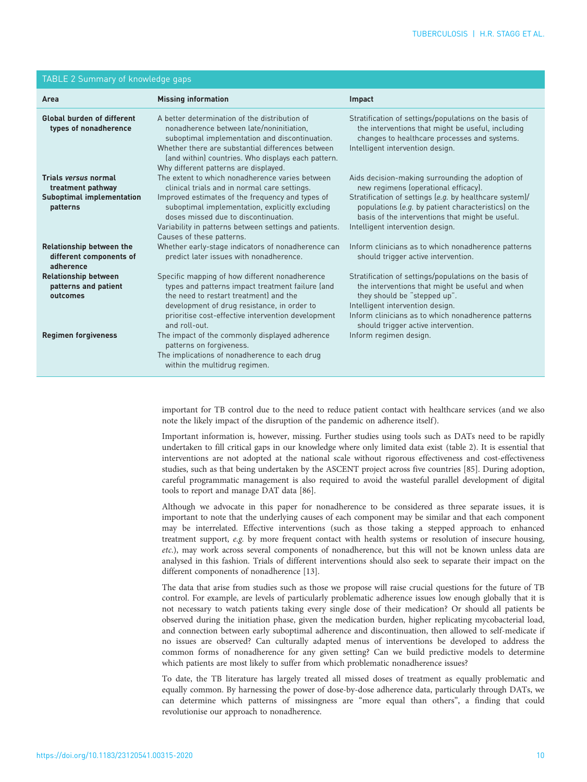| TABLE 2 Summary of knowledge gaps                                       |                                                                                                                                                                                                                                                                                                 |                                                                                                                                                                                                                                                                             |  |
|-------------------------------------------------------------------------|-------------------------------------------------------------------------------------------------------------------------------------------------------------------------------------------------------------------------------------------------------------------------------------------------|-----------------------------------------------------------------------------------------------------------------------------------------------------------------------------------------------------------------------------------------------------------------------------|--|
| Area                                                                    | <b>Missing information</b>                                                                                                                                                                                                                                                                      | Impact                                                                                                                                                                                                                                                                      |  |
| Global burden of different<br>types of nonadherence                     | A better determination of the distribution of<br>nonadherence between late/noninitiation.<br>suboptimal implementation and discontinuation.<br>Whether there are substantial differences between<br>(and within) countries. Who displays each pattern.<br>Why different patterns are displayed. | Stratification of settings/populations on the basis of<br>the interventions that might be useful, including<br>changes to healthcare processes and systems.<br>Intelligent intervention design.                                                                             |  |
| Trials versus normal<br>treatment pathway                               | The extent to which nonadherence varies between<br>clinical trials and in normal care settings.                                                                                                                                                                                                 | Aids decision-making surrounding the adoption of<br>new regimens (operational efficacy).                                                                                                                                                                                    |  |
| <b>Suboptimal implementation</b><br>patterns                            | Improved estimates of the frequency and types of<br>suboptimal implementation, explicitly excluding<br>doses missed due to discontinuation.<br>Variability in patterns between settings and patients.<br>Causes of these patterns.                                                              | Stratification of settings (e.g. by healthcare system)/<br>populations (e.g. by patient characteristics) on the<br>basis of the interventions that might be useful.<br>Intelligent intervention design.                                                                     |  |
| <b>Relationship between the</b><br>different components of<br>adherence | Whether early-stage indicators of nonadherence can<br>predict later issues with nonadherence.                                                                                                                                                                                                   | Inform clinicians as to which nonadherence patterns<br>should trigger active intervention.                                                                                                                                                                                  |  |
| <b>Relationship between</b><br>patterns and patient<br>outcomes         | Specific mapping of how different nonadherence<br>types and patterns impact treatment failure (and<br>the need to restart treatment) and the<br>development of drug resistance, in order to<br>prioritise cost-effective intervention development<br>and roll-out                               | Stratification of settings/populations on the basis of<br>the interventions that might be useful and when<br>they should be "stepped up".<br>Intelligent intervention design.<br>Inform clinicians as to which nonadherence patterns<br>should trigger active intervention. |  |
| <b>Regimen forgiveness</b>                                              | The impact of the commonly displayed adherence<br>patterns on forgiveness.<br>The implications of nonadherence to each drug<br>within the multidrug regimen.                                                                                                                                    | Inform regimen design.                                                                                                                                                                                                                                                      |  |

important for TB control due to the need to reduce patient contact with healthcare services (and we also note the likely impact of the disruption of the pandemic on adherence itself ).

Important information is, however, missing. Further studies using tools such as DATs need to be rapidly undertaken to fill critical gaps in our knowledge where only limited data exist (table 2). It is essential that interventions are not adopted at the national scale without rigorous effectiveness and cost-effectiveness studies, such as that being undertaken by the ASCENT project across five countries [\[85](#page-12-0)]. During adoption, careful programmatic management is also required to avoid the wasteful parallel development of digital tools to report and manage DAT data [[86\]](#page-12-0).

Although we advocate in this paper for nonadherence to be considered as three separate issues, it is important to note that the underlying causes of each component may be similar and that each component may be interrelated. Effective interventions (such as those taking a stepped approach to enhanced treatment support, e.g. by more frequent contact with health systems or resolution of insecure housing, etc.), may work across several components of nonadherence, but this will not be known unless data are analysed in this fashion. Trials of different interventions should also seek to separate their impact on the different components of nonadherence [[13](#page-10-0)].

The data that arise from studies such as those we propose will raise crucial questions for the future of TB control. For example, are levels of particularly problematic adherence issues low enough globally that it is not necessary to watch patients taking every single dose of their medication? Or should all patients be observed during the initiation phase, given the medication burden, higher replicating mycobacterial load, and connection between early suboptimal adherence and discontinuation, then allowed to self-medicate if no issues are observed? Can culturally adapted menus of interventions be developed to address the common forms of nonadherence for any given setting? Can we build predictive models to determine which patients are most likely to suffer from which problematic nonadherence issues?

To date, the TB literature has largely treated all missed doses of treatment as equally problematic and equally common. By harnessing the power of dose-by-dose adherence data, particularly through DATs, we can determine which patterns of missingness are "more equal than others", a finding that could revolutionise our approach to nonadherence.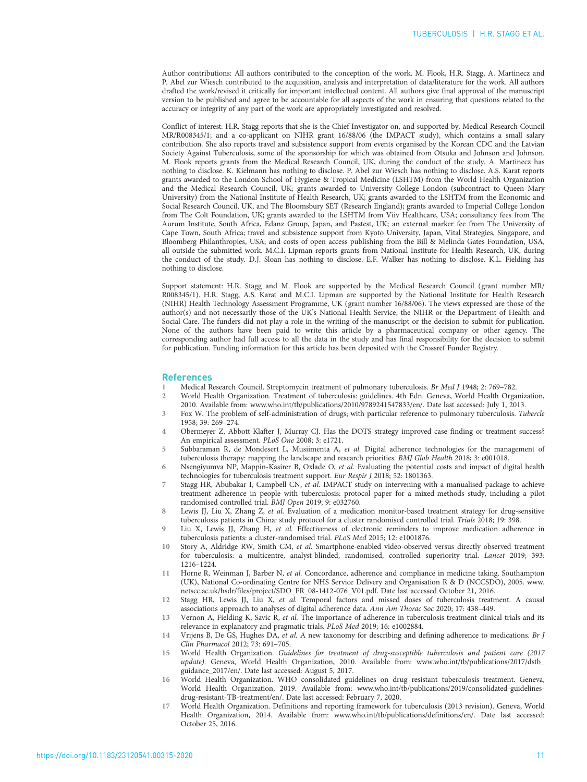<span id="page-10-0"></span>Author contributions: All authors contributed to the conception of the work. M. Flook, H.R. Stagg, A. Martinecz and P. Abel zur Wiesch contributed to the acquisition, analysis and interpretation of data/literature for the work. All authors drafted the work/revised it critically for important intellectual content. All authors give final approval of the manuscript version to be published and agree to be accountable for all aspects of the work in ensuring that questions related to the accuracy or integrity of any part of the work are appropriately investigated and resolved.

Conflict of interest: H.R. Stagg reports that she is the Chief Investigator on, and supported by, Medical Research Council MR/R008345/1; and a co-applicant on NIHR grant 16/88/06 (the IMPACT study), which contains a small salary contribution. She also reports travel and subsistence support from events organised by the Korean CDC and the Latvian Society Against Tuberculosis, some of the sponsorship for which was obtained from Otsuka and Johnson and Johnson. M. Flook reports grants from the Medical Research Council, UK, during the conduct of the study. A. Martinecz has nothing to disclose. K. Kielmann has nothing to disclose. P. Abel zur Wiesch has nothing to disclose. A.S. Karat reports grants awarded to the London School of Hygiene & Tropical Medicine (LSHTM) from the World Health Organization and the Medical Research Council, UK; grants awarded to University College London (subcontract to Queen Mary University) from the National Institute of Health Research, UK; grants awarded to the LSHTM from the Economic and Social Research Council, UK, and The Bloomsbury SET (Research England); grants awarded to Imperial College London from The Colt Foundation, UK; grants awarded to the LSHTM from Viiv Healthcare, USA; consultancy fees from The Aurum Institute, South Africa, Edanz Group, Japan, and Pastest, UK; an external marker fee from The University of Cape Town, South Africa; travel and subsistence support from Kyoto University, Japan, Vital Strategies, Singapore, and Bloomberg Philanthropies, USA; and costs of open access publishing from the Bill & Melinda Gates Foundation, USA, all outside the submitted work. M.C.I. Lipman reports grants from National Institute for Health Research, UK, during the conduct of the study. D.J. Sloan has nothing to disclose. E.F. Walker has nothing to disclose. K.L. Fielding has nothing to disclose.

Support statement: H.R. Stagg and M. Flook are supported by the Medical Research Council (grant number MR/ R008345/1). H.R. Stagg, A.S. Karat and M.C.I. Lipman are supported by the National Institute for Health Research (NIHR) Health Technology Assessment Programme, UK (grant number 16/88/06). The views expressed are those of the author(s) and not necessarily those of the UK's National Health Service, the NIHR or the Department of Health and Social Care. The funders did not play a role in the writing of the manuscript or the decision to submit for publication. None of the authors have been paid to write this article by a pharmaceutical company or other agency. The corresponding author had full access to all the data in the study and has final responsibility for the decision to submit for publication. Funding information for this article has been deposited with the [Crossref Funder Registry.](https://www.crossref.org/services/funder-registry/)

#### **References**

- 1 Medical Research Council. Streptomycin treatment of pulmonary tuberculosis. Br Med J 1948; 2: 769-782.
- 2 World Health Organization. Treatment of tuberculosis: guidelines. 4th Edn. Geneva, World Health Organization, 2010. Available from: [www.who.int/tb/publications/2010/9789241547833/en/](http://www.who.int/tb/publications/2010/9789241547833/en/). Date last accessed: July 1, 2013.
- 3 Fox W. The problem of self-administration of drugs; with particular reference to pulmonary tuberculosis. Tubercle 1958; 39: 269–274.
- 4 Obermeyer Z, Abbott-Klafter J, Murray CJ. Has the DOTS strategy improved case finding or treatment success? An empirical assessment. PLoS One 2008; 3: e1721.
- 5 Subbaraman R, de Mondesert L, Musiimenta A, et al. Digital adherence technologies for the management of tuberculosis therapy: mapping the landscape and research priorities. BMJ Glob Health 2018; 3: e001018.
- 6 Nsengiyumva NP, Mappin-Kasirer B, Oxlade O, et al. Evaluating the potential costs and impact of digital health technologies for tuberculosis treatment support. Eur Respir J 2018; 52: 1801363.
- Stagg HR, Abubakar I, Campbell CN, et al. IMPACT study on intervening with a manualised package to achieve treatment adherence in people with tuberculosis: protocol paper for a mixed-methods study, including a pilot randomised controlled trial. BMJ Open 2019; 9: e032760.
- 8 Lewis JJ, Liu X, Zhang Z, et al. Evaluation of a medication monitor-based treatment strategy for drug-sensitive tuberculosis patients in China: study protocol for a cluster randomised controlled trial. Trials 2018; 19: 398.
- Liu X, Lewis JJ, Zhang H, et al. Effectiveness of electronic reminders to improve medication adherence in tuberculosis patients: a cluster-randomised trial. PLoS Med 2015; 12: e1001876.
- 10 Story A, Aldridge RW, Smith CM, et al. Smartphone-enabled video-observed versus directly observed treatment for tuberculosis: a multicentre, analyst-blinded, randomised, controlled superiority trial. Lancet 2019; 393: 1216–1224.
- 11 Horne R, Weinman J, Barber N, et al. Concordance, adherence and compliance in medicine taking. Southampton (UK), National Co-ordinating Centre for NHS Service Delivery and Organisation R & D (NCCSDO), 2005. [www.](http://www.netscc.ac.uk/hsdr/files/project/SDO_FR_08-1412-076_V01.pdf) [netscc.ac.uk/hsdr/files/project/SDO\\_FR\\_08-1412-076\\_V01.pdf](http://www.netscc.ac.uk/hsdr/files/project/SDO_FR_08-1412-076_V01.pdf). Date last accessed October 21, 2016.
- 12 Stagg HR, Lewis JJ, Liu X, et al. Temporal factors and missed doses of tuberculosis treatment. A causal associations approach to analyses of digital adherence data. Ann Am Thorac Soc 2020; 17: 438–449.
- 13 Vernon A, Fielding K, Savic R, et al. The importance of adherence in tuberculosis treatment clinical trials and its relevance in explanatory and pragmatic trials. PLoS Med 2019; 16: e1002884.
- 14 Vrijens B, De GS, Hughes DA, et al. A new taxonomy for describing and defining adherence to medications. Br J Clin Pharmacol 2012; 73: 691–705.
- 15 World Health Organization. Guidelines for treatment of drug-susceptible tuberculosis and patient care (2017 update). Geneva, World Health Organization, 2010. Available from: [www.who.int/tb/publications/2017/dstb\\_](http://www.who.int/tb/publications/2017/dstb_guidance_2017/en/) [guidance\\_2017/en/.](http://www.who.int/tb/publications/2017/dstb_guidance_2017/en/) Date last accessed: August 5, 2017.
- 16 World Health Organization. WHO consolidated guidelines on drug resistant tuberculosis treatment. Geneva, World Health Organization, 2019. Available from: [www.who.int/tb/publications/2019/consolidated-guidelines](http://www.who.int/tb/publications/2019/consolidated-guidelines-drug-resistant-TB-treatment/en/)[drug-resistant-TB-treatment/en/](http://www.who.int/tb/publications/2019/consolidated-guidelines-drug-resistant-TB-treatment/en/). Date last accessed: February 7, 2020.
- 17 World Health Organization. Definitions and reporting framework for tuberculosis (2013 revision). Geneva, World Health Organization, 2014. Available from: [www.who.int/tb/publications/definitions/en/.](http://www.who.int/tb/publications/definitions/en/) Date last accessed: October 25, 2016.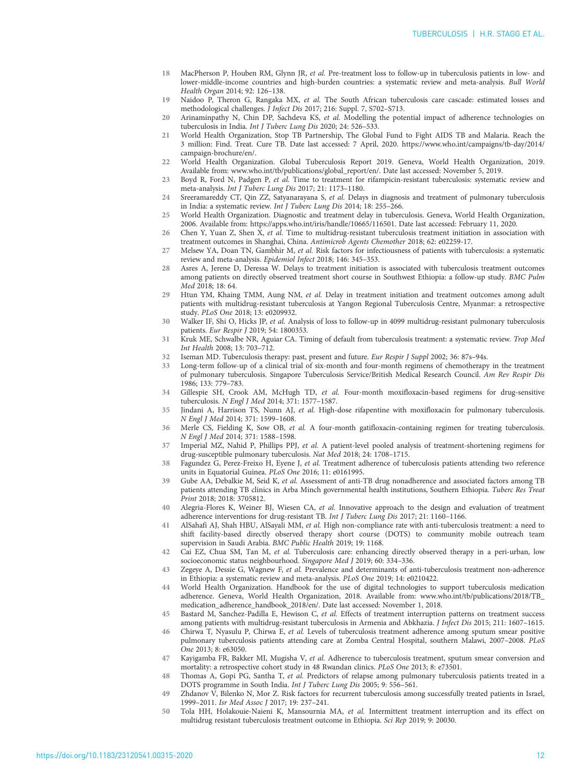- <span id="page-11-0"></span>18 MacPherson P, Houben RM, Glynn JR, et al. Pre-treatment loss to follow-up in tuberculosis patients in low- and lower-middle-income countries and high-burden countries: a systematic review and meta-analysis. Bull World Health Organ 2014; 92: 126–138.
- 19 Naidoo P, Theron G, Rangaka MX, et al. The South African tuberculosis care cascade: estimated losses and methodological challenges. J Infect Dis 2017; 216: Suppl. 7, S702–S713.
- 20 Arinaminpathy N, Chin DP, Sachdeva KS, et al. Modelling the potential impact of adherence technologies on tuberculosis in India. Int J Tuberc Lung Dis 2020; 24: 526–533.
- 21 World Health Organization, Stop TB Partnership, The Global Fund to Fight AIDS TB and Malaria. Reach the 3 million: Find. Treat. Cure TB. Date last accessed: 7 April, 2020. [https://www.who.int/campaigns/tb-day/2014/](https://www.who.int/campaigns/tb-day/2014/campaign-brochure/en/) [campaign-brochure/en/](https://www.who.int/campaigns/tb-day/2014/campaign-brochure/en/).
- 22 World Health Organization. Global Tuberculosis Report 2019. Geneva, World Health Organization, 2019. Available from: [www.who.int/tb/publications/global\\_report/en/.](http://www.who.int/tb/publications/global_report/en/) Date last accessed: November 5, 2019.
- 23 Boyd R, Ford N, Padgen P, et al. Time to treatment for rifampicin-resistant tuberculosis: systematic review and meta-analysis. Int J Tuberc Lung Dis 2017; 21: 1173–1180.
- 24 Sreeramareddy CT, Qin ZZ, Satyanarayana S, et al. Delays in diagnosis and treatment of pulmonary tuberculosis in India: a systematic review. Int J Tuberc Lung Dis 2014; 18: 255–266.
- 25 World Health Organization. Diagnostic and treatment delay in tuberculosis. Geneva, World Health Organization, 2006. Available from: [https://apps.who.int/iris/handle/10665/116501.](https://apps.who.int/iris/handle/10665/116501) Date last accessed: February 11, 2020.
- 26 Chen Y, Yuan Z, Shen X, et al. Time to multidrug-resistant tuberculosis treatment initiation in association with treatment outcomes in Shanghai, China. Antimicrob Agents Chemother 2018; 62: e02259-17.
- 27 Melsew YA, Doan TN, Gambhir M, et al. Risk factors for infectiousness of patients with tuberculosis: a systematic review and meta-analysis. Epidemiol Infect 2018; 146: 345–353.
- 28 Asres A, Jerene D, Deressa W. Delays to treatment initiation is associated with tuberculosis treatment outcomes among patients on directly observed treatment short course in Southwest Ethiopia: a follow-up study. BMC Pulm Med 2018; 18: 64.
- 29 Htun YM, Khaing TMM, Aung NM, et al. Delay in treatment initiation and treatment outcomes among adult patients with multidrug-resistant tuberculosis at Yangon Regional Tuberculosis Centre, Myanmar: a retrospective study. PLoS One 2018; 13: e0209932.
- 30 Walker IF, Shi O, Hicks JP, et al. Analysis of loss to follow-up in 4099 multidrug-resistant pulmonary tuberculosis patients. Eur Respir J 2019; 54: 1800353.
- 31 Kruk ME, Schwalbe NR, Aguiar CA. Timing of default from tuberculosis treatment: a systematic review. Trop Med Int Health 2008; 13: 703–712.
- 32 Iseman MD. Tuberculosis therapy: past, present and future. Eur Respir J Suppl 2002; 36: 87s–94s.
- 33 Long-term follow-up of a clinical trial of six-month and four-month regimens of chemotherapy in the treatment of pulmonary tuberculosis. Singapore Tuberculosis Service/British Medical Research Council. Am Rev Respir Dis 1986; 133: 779–783.
- 34 Gillespie SH, Crook AM, McHugh TD, et al. Four-month moxifloxacin-based regimens for drug-sensitive tuberculosis. N Engl J Med 2014; 371: 1577–1587.
- 35 Jindani A, Harrison TS, Nunn AJ, et al. High-dose rifapentine with moxifloxacin for pulmonary tuberculosis. N Engl J Med 2014; 371: 1599–1608.
- 36 Merle CS, Fielding K, Sow OB, et al. A four-month gatifloxacin-containing regimen for treating tuberculosis. N Engl J Med 2014; 371: 1588–1598.
- 37 Imperial MZ, Nahid P, Phillips PPJ, et al. A patient-level pooled analysis of treatment-shortening regimens for drug-susceptible pulmonary tuberculosis. Nat Med 2018; 24: 1708–1715.
- 38 Fagundez G, Perez-Freixo H, Eyene J, et al. Treatment adherence of tuberculosis patients attending two reference units in Equatorial Guinea. PLoS One 2016; 11: e0161995.
- 39 Gube AA, Debalkie M, Seid K, et al. Assessment of anti-TB drug nonadherence and associated factors among TB patients attending TB clinics in Arba Minch governmental health institutions, Southern Ethiopia. Tuberc Res Treat Print 2018; 2018: 3705812.
- 40 Alegria-Flores K, Weiner BJ, Wiesen CA, et al. Innovative approach to the design and evaluation of treatment adherence interventions for drug-resistant TB. Int J Tuberc Lung Dis 2017; 21: 1160–1166.
- 41 AlSahafi AJ, Shah HBU, AlSayali MM, et al. High non-compliance rate with anti-tuberculosis treatment: a need to shift facility-based directly observed therapy short course (DOTS) to community mobile outreach team supervision in Saudi Arabia. BMC Public Health 2019; 19: 1168.
- 42 Cai EZ, Chua SM, Tan M, et al. Tuberculosis care: enhancing directly observed therapy in a peri-urban, low socioeconomic status neighbourhood. Singapore Med J 2019; 60: 334–336.
- 43 Zegeye A, Dessie G, Wagnew F, et al. Prevalence and determinants of anti-tuberculosis treatment non-adherence in Ethiopia: a systematic review and meta-analysis. PLoS One 2019; 14: e0210422.
- 44 World Health Organization. Handbook for the use of digital technologies to support tuberculosis medication adherence. Geneva, World Health Organization, 2018. Available from: [www.who.int/tb/publications/2018/TB\\_](http://www.who.int/tb/publications/2018/TB_medication_adherence_handbook_2018/en/) [medication\\_adherence\\_handbook\\_2018/en/](http://www.who.int/tb/publications/2018/TB_medication_adherence_handbook_2018/en/). Date last accessed: November 1, 2018.
- 45 Bastard M, Sanchez-Padilla E, Hewison C, et al. Effects of treatment interruption patterns on treatment success among patients with multidrug-resistant tuberculosis in Armenia and Abkhazia. J Infect Dis 2015; 211: 1607–1615.
- 46 Chirwa T, Nyasulu P, Chirwa E, et al. Levels of tuberculosis treatment adherence among sputum smear positive pulmonary tuberculosis patients attending care at Zomba Central Hospital, southern Malawi, 2007–2008. PLoS One 2013; 8: e63050.
- 47 Kayigamba FR, Bakker MI, Mugisha V, et al. Adherence to tuberculosis treatment, sputum smear conversion and mortality: a retrospective cohort study in 48 Rwandan clinics. PLoS One 2013; 8: e73501.
- 48 Thomas A, Gopi PG, Santha T, et al. Predictors of relapse among pulmonary tuberculosis patients treated in a DOTS programme in South India. Int J Tuberc Lung Dis 2005; 9: 556–561.
- 49 Zhdanov V, Bilenko N, Mor Z. Risk factors for recurrent tuberculosis among successfully treated patients in Israel, 1999–2011. Isr Med Assoc J 2017; 19: 237–241.
- 50 Tola HH, Holakouie-Naieni K, Mansournia MA, et al. Intermittent treatment interruption and its effect on multidrug resistant tuberculosis treatment outcome in Ethiopia. Sci Rep 2019; 9: 20030.